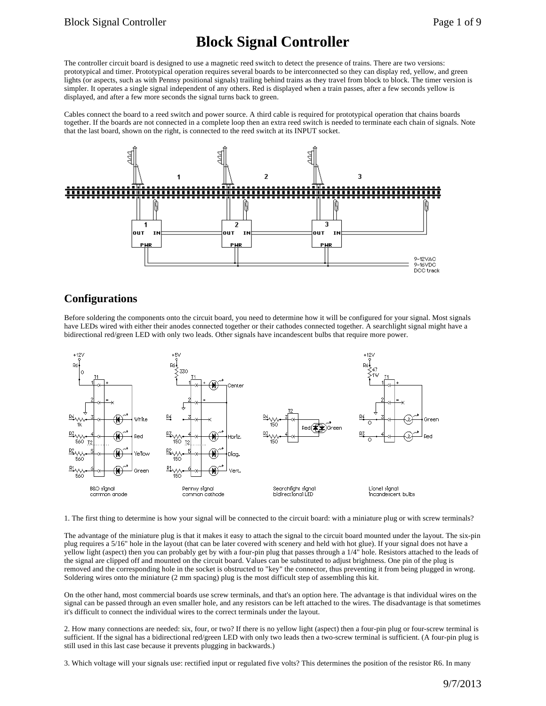# **Block Signal Controller**

The controller circuit board is designed to use a magnetic reed switch to detect the presence of trains. There are two versions: prototypical and timer. Prototypical operation requires several boards to be interconnected so they can display red, yellow, and green lights (or aspects, such as with Pennsy positional signals) trailing behind trains as they travel from block to block. The timer version is simpler. It operates a single signal independent of any others. Red is displayed when a train passes, after a few seconds yellow is displayed, and after a few more seconds the signal turns back to green.

Cables connect the board to a reed switch and power source. A third cable is required for prototypical operation that chains boards together. If the boards are not connected in a complete loop then an extra reed switch is needed to terminate each chain of signals. Note that the last board, shown on the right, is connected to the reed switch at its INPUT socket.



### **Configurations**

Before soldering the components onto the circuit board, you need to determine how it will be configured for your signal. Most signals have LEDs wired with either their anodes connected together or their cathodes connected together. A searchlight signal might have a bidirectional red/green LED with only two leads. Other signals have incandescent bulbs that require more power.



1. The first thing to determine is how your signal will be connected to the circuit board: with a miniature plug or with screw terminals?

The advantage of the miniature plug is that it makes it easy to attach the signal to the circuit board mounted under the layout. The six-pin plug requires a 5/16" hole in the layout (that can be later covered with scenery and held with hot glue). If your signal does not have a yellow light (aspect) then you can probably get by with a four-pin plug that passes through a 1/4" hole. Resistors attached to the leads of the signal are clipped off and mounted on the circuit board. Values can be substituted to adjust brightness. One pin of the plug is removed and the corresponding hole in the socket is obstructed to "key" the connector, thus preventing it from being plugged in wrong. Soldering wires onto the miniature (2 mm spacing) plug is the most difficult step of assembling this kit.

On the other hand, most commercial boards use screw terminals, and that's an option here. The advantage is that individual wires on the signal can be passed through an even smaller hole, and any resistors can be left attached to the wires. The disadvantage is that sometimes it's difficult to connect the individual wires to the correct terminals under the layout.

2. How many connections are needed: six, four, or two? If there is no yellow light (aspect) then a four-pin plug or four-screw terminal is sufficient. If the signal has a bidirectional red/green LED with only two leads then a two-screw terminal is sufficient. (A four-pin plug is still used in this last case because it prevents plugging in backwards.)

3. Which voltage will your signals use: rectified input or regulated five volts? This determines the position of the resistor R6. In many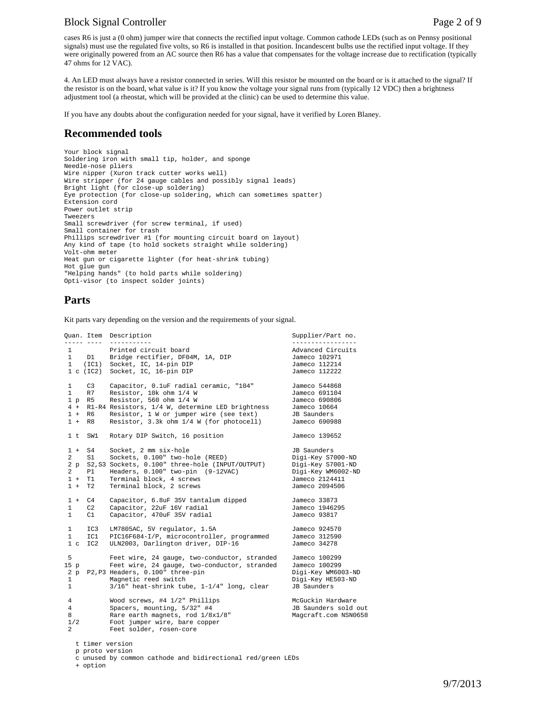#### Block Signal Controller **Page 2 of 9** and 2 of 9

cases R6 is just a (0 ohm) jumper wire that connects the rectified input voltage. Common cathode LEDs (such as on Pennsy positional signals) must use the regulated five volts, so R6 is installed in that position. Incandescent bulbs use the rectified input voltage. If they were originally powered from an AC source then R6 has a value that compensates for the voltage increase due to rectification (typically 47 ohms for 12 VAC).

4. An LED must always have a resistor connected in series. Will this resistor be mounted on the board or is it attached to the signal? If the resistor is on the board, what value is it? If you know the voltage your signal runs from (typically 12 VDC) then a brightness adjustment tool (a rheostat, which will be provided at the clinic) can be used to determine this value.

If you have any doubts about the configuration needed for your signal, have it verified by Loren Blaney.

#### **Recommended tools**

```
Your block signal
Soldering iron with small tip, holder, and sponge
Needle-nose pliers
Wire nipper (Xuron track cutter works well)
Wire stripper (for 24 gauge cables and possibly signal leads)
Bright light (for close-up soldering)
Eye protection (for close-up soldering, which can sometimes spatter)
Extension cord
Power outlet strip
Tweezers
Small screwdriver (for screw terminal, if used)
Small container for trash
Phillips screwdriver #1 (for mounting circuit board on layout)
Any kind of tape (to hold sockets straight while soldering)
Volt-ohm meter
Heat gun or cigarette lighter (for heat-shrink tubing)
Hot glue gun
"Helping hands" (to hold parts while soldering)
Opti-visor (to inspect solder joints)
```
#### **Parts**

Kit parts vary depending on the version and the requirements of your signal.

```
Quan. Item Description Supplier/Part no.
----- ---- ----------- -----------------
1 Printed circuit board and Movement Circuits<br>1 D1 Bridge rectifier. DF04M. 1A. DTP 17 Jameco 102971
             Bridge rectifier, DF04M, 1A, DIP Jameco 102971<br>Socket, IC, 14-pin DIP Jameco 112214
 1 (IC1) Socket, IC, 14-pin DIP Jameco 112214
1 c (IC2) Socket, IC, 16-pin DIP
1 C3 Capacitor, 0.1uF radial ceramic, "104" Jameco 544868<br>1 R7 Resistor, 10k ohm 1/4 W Jameco 691104
1 R7 Resistor, 10k ohm 1/4 W Jameco 691104<br>1 p R5 Resistor, 560 ohm 1/4 W Jameco 690806
 1 p R5 Resistor, 560 ohm 1/4 W Jameco 69080<br>4 + R1-R4 Resistors, 1/4 W, determine LED brightness Jameco 10664
 4 + R1-R4 Resistors, 1/4 W, determine LED brightness Jameco 10664
            Resistor, 1 W or jumper wire (see text) JB Saunders<br>Resistor, 3.3k ohm 1/4 W (for photocell) Jameco 690988
1 + R8 Resistor, 3.3k ohm 1/4 W (for photocell)
 1 t SW1 Rotary DIP Switch, 16 position Jameco 139652
 1 + S4 Socket, 2 mm six-hole JB Saunders
 2 S1 Sockets, 0.100" two-hole (REED) Digi-Key S7000-ND
 2 p S2,S3 Sockets, 0.100" three-hole (INPUT/OUTPUT) Digi-Key S7001-ND
2 p S2, S3 Sockets, 0.100" three-hole (INPUT/OUTPUT) Digi-Key S7001-ND<br>2 P1 Headers, 0.100" two-pin (9-12VAC) Digi-Key WM6002-ND<br>1 + T1 Terminal block, 4 screws Jameco 2124411
 1 + T1 Terminal block, 4 screws Jameco 2124411
            Terminal block, 2 screws
 1 + C4 Capacitor, 6.8uF 35V tantalum dipped Jameco 33873
 1 C2 Capacitor, 22uF 16V radial Jameco 1946295
             Capacitor, 470uF 35V radial
1 IC3 LM7805AC, 5V regulator, 1.5A 3ameco 924570<br>1 IC1 PIC16F684-I/P, microcontroller, programmed Jameco 312590
1 IC1 PIC16F684-I/P, microcontroller, programmed Jameco 31259<br>1 c IC2 ULN2003, Darlington driver, DIP-16 Jameco 34278
             ULN2003, Darlington driver, DIP-16
 5 Feet wire, 24 gauge, two-conductor, stranded Jameco 100299
             Feet wire, 24 gauge, two-conductor, stranded Jameco 100299<br>Headers, 0.100" three-pin
2 p P2,P3 Headers, 0.100" three-pin \frac{1}{2} Digi-Key WM6003-ND<br>1 Magnetic reed switch Digi-Key HE503-ND
1 Magnetic reed switch Digi-Key HE!<br>1 3/16" heat-shrink tube, 1-1/4" long, clear JB Saunders
             3/\overline{16}" heat-shrink tube, 1-1/4" long, clear
 4 Wood screws, #4 1/2" Phillips McGuckin Hardware
4 Spacers, mounting, 5/32" #4 JB Saunders sold out<br>8 Rare earth magnets, rod 1/8x1/8" Magcraft.com NSN0658
             Rare earth magnets, rod 1/8x1/8" 1/2 Foot jumper wire, bare copper
 2 Feet solder, rosen-core
    t timer version
```
p proto version

+ option

c unused by common cathode and bidirectional red/green LEDs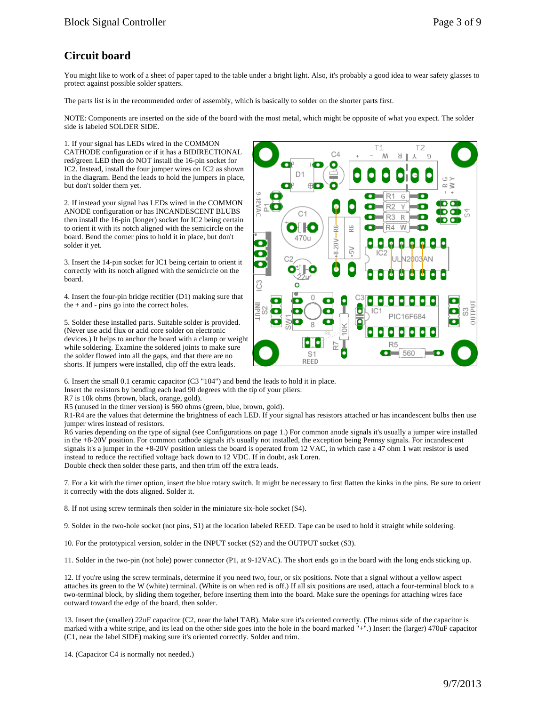## **Circuit board**

You might like to work of a sheet of paper taped to the table under a bright light. Also, it's probably a good idea to wear safety glasses to protect against possible solder spatters.

The parts list is in the recommended order of assembly, which is basically to solder on the shorter parts first.

NOTE: Components are inserted on the side of the board with the most metal, which might be opposite of what you expect. The solder side is labeled SOLDER SIDE.

1. If your signal has LEDs wired in the COMMON CATHODE configuration or if it has a BIDIRECTIONAL red/green LED then do NOT install the 16-pin socket for IC2. Instead, install the four jumper wires on IC2 as shown in the diagram. Bend the leads to hold the jumpers in place, but don't solder them yet.

2. If instead your signal has LEDs wired in the COMMON ANODE configuration or has INCANDESCENT BLUBS then install the 16-pin (longer) socket for IC2 being certain to orient it with its notch aligned with the semicircle on the board. Bend the corner pins to hold it in place, but don't solder it yet.

3. Insert the 14-pin socket for IC1 being certain to orient it correctly with its notch aligned with the semicircle on the board.

4. Insert the four-pin bridge rectifier (D1) making sure that the + and - pins go into the correct holes.

5. Solder these installed parts. Suitable solder is provided. (Never use acid flux or acid core solder on electronic devices.) It helps to anchor the board with a clamp or weight while soldering. Examine the soldered joints to make sure the solder flowed into all the gaps, and that there are no shorts. If jumpers were installed, clip off the extra leads.



6. Insert the small 0.1 ceramic capacitor (C3 "104") and bend the leads to hold it in place.

Insert the resistors by bending each lead 90 degrees with the tip of your pliers:

R7 is 10k ohms (brown, black, orange, gold).

R5 (unused in the timer version) is 560 ohms (green, blue, brown, gold).

R1-R4 are the values that determine the brightness of each LED. If your signal has resistors attached or has incandescent bulbs then use jumper wires instead of resistors.

R6 varies depending on the type of signal (see Configurations on page 1.) For common anode signals it's usually a jumper wire installed in the +8-20V position. For common cathode signals it's usually not installed, the exception being Pennsy signals. For incandescent signals it's a jumper in the +8-20V position unless the board is operated from 12 VAC, in which case a 47 ohm 1 watt resistor is used instead to reduce the rectified voltage back down to 12 VDC. If in doubt, ask Loren. Double check then solder these parts, and then trim off the extra leads.

7. For a kit with the timer option, insert the blue rotary switch. It might be necessary to first flatten the kinks in the pins. Be sure to orient it correctly with the dots aligned. Solder it.

8. If not using screw terminals then solder in the miniature six-hole socket (S4).

9. Solder in the two-hole socket (not pins, S1) at the location labeled REED. Tape can be used to hold it straight while soldering.

10. For the prototypical version, solder in the INPUT socket (S2) and the OUTPUT socket (S3).

11. Solder in the two-pin (not hole) power connector (P1, at 9-12VAC). The short ends go in the board with the long ends sticking up.

12. If you're using the screw terminals, determine if you need two, four, or six positions. Note that a signal without a yellow aspect attaches its green to the W (white) terminal. (White is on when red is off.) If all six positions are used, attach a four-terminal block to a two-terminal block, by sliding them together, before inserting them into the board. Make sure the openings for attaching wires face outward toward the edge of the board, then solder.

13. Insert the (smaller) 22uF capacitor (C2, near the label TAB). Make sure it's oriented correctly. (The minus side of the capacitor is marked with a white stripe, and its lead on the other side goes into the hole in the board marked "+".) Insert the (larger) 470uF capacitor (C1, near the label SIDE) making sure it's oriented correctly. Solder and trim.

14. (Capacitor C4 is normally not needed.)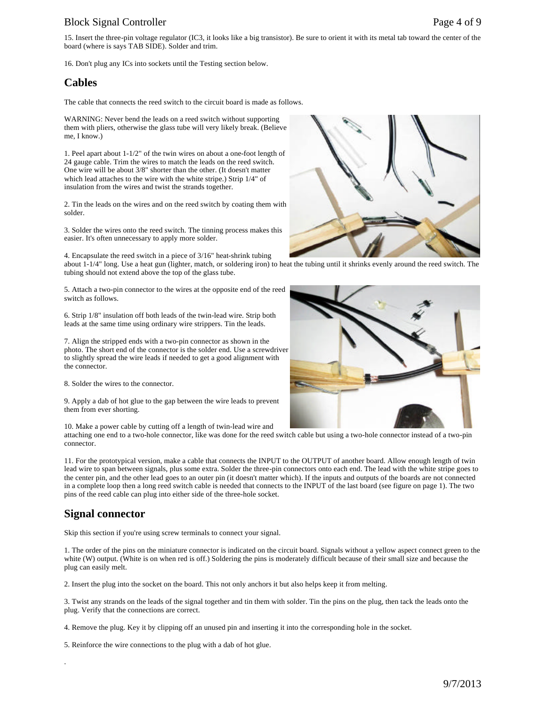### Block Signal Controller Page 4 of 9

15. Insert the three-pin voltage regulator (IC3, it looks like a big transistor). Be sure to orient it with its metal tab toward the center of the board (where is says TAB SIDE). Solder and trim.

16. Don't plug any ICs into sockets until the Testing section below.

#### **Cables**

The cable that connects the reed switch to the circuit board is made as follows.

WARNING: Never bend the leads on a reed switch without supporting them with pliers, otherwise the glass tube will very likely break. (Believe me, I know.)

1. Peel apart about 1-1/2" of the twin wires on about a one-foot length of 24 gauge cable. Trim the wires to match the leads on the reed switch. One wire will be about 3/8" shorter than the other. (It doesn't matter which lead attaches to the wire with the white stripe.) Strip 1/4" of insulation from the wires and twist the strands together.

2. Tin the leads on the wires and on the reed switch by coating them with solder.

3. Solder the wires onto the reed switch. The tinning process makes this easier. It's often unnecessary to apply more solder.

4. Encapsulate the reed switch in a piece of 3/16" heat-shrink tubing about 1-1/4" long. Use a heat gun (lighter, match, or soldering iron) to heat the tubing until it shrinks evenly around the reed switch. The tubing should not extend above the top of the glass tube.

5. Attach a two-pin connector to the wires at the opposite end of the reed switch as follows.

6. Strip 1/8" insulation off both leads of the twin-lead wire. Strip both leads at the same time using ordinary wire strippers. Tin the leads.

7. Align the stripped ends with a two-pin connector as shown in the photo. The short end of the connector is the solder end. Use a screwdriver to slightly spread the wire leads if needed to get a good alignment with the connector.

8. Solder the wires to the connector.

9. Apply a dab of hot glue to the gap between the wire leads to prevent them from ever shorting.

10. Make a power cable by cutting off a length of twin-lead wire and

attaching one end to a two-hole connector, like was done for the reed switch cable but using a two-hole connector instead of a two-pin connector.

11. For the prototypical version, make a cable that connects the INPUT to the OUTPUT of another board. Allow enough length of twin lead wire to span between signals, plus some extra. Solder the three-pin connectors onto each end. The lead with the white stripe goes to the center pin, and the other lead goes to an outer pin (it doesn't matter which). If the inputs and outputs of the boards are not connected in a complete loop then a long reed switch cable is needed that connects to the INPUT of the last board (see figure on page 1). The two pins of the reed cable can plug into either side of the three-hole socket.

### **Signal connector**

.

Skip this section if you're using screw terminals to connect your signal.

1. The order of the pins on the miniature connector is indicated on the circuit board. Signals without a yellow aspect connect green to the white (W) output. (White is on when red is off.) Soldering the pins is moderately difficult because of their small size and because the plug can easily melt.

2. Insert the plug into the socket on the board. This not only anchors it but also helps keep it from melting.

3. Twist any strands on the leads of the signal together and tin them with solder. Tin the pins on the plug, then tack the leads onto the plug. Verify that the connections are correct.

4. Remove the plug. Key it by clipping off an unused pin and inserting it into the corresponding hole in the socket.

5. Reinforce the wire connections to the plug with a dab of hot glue.



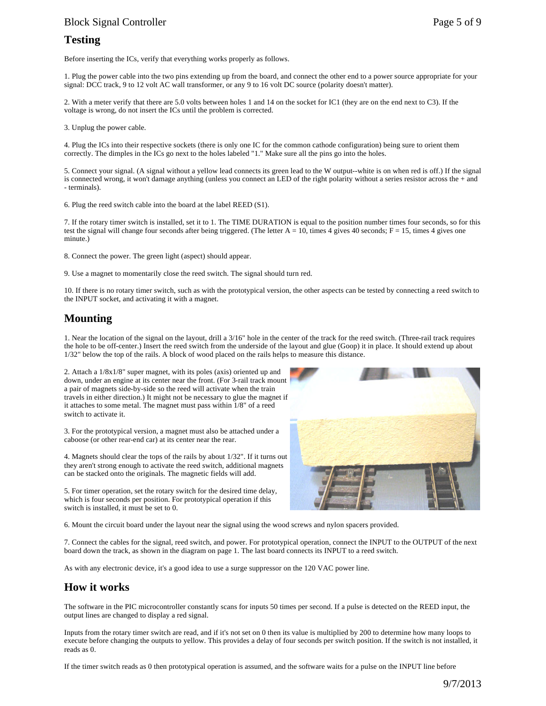#### Block Signal Controller Page 5 of 9

#### **Testing**

Before inserting the ICs, verify that everything works properly as follows.

1. Plug the power cable into the two pins extending up from the board, and connect the other end to a power source appropriate for your signal: DCC track, 9 to 12 volt AC wall transformer, or any 9 to 16 volt DC source (polarity doesn't matter).

2. With a meter verify that there are 5.0 volts between holes 1 and 14 on the socket for IC1 (they are on the end next to C3). If the voltage is wrong, do not insert the ICs until the problem is corrected.

3. Unplug the power cable.

4. Plug the ICs into their respective sockets (there is only one IC for the common cathode configuration) being sure to orient them correctly. The dimples in the ICs go next to the holes labeled "1." Make sure all the pins go into the holes.

5. Connect your signal. (A signal without a yellow lead connects its green lead to the W output--white is on when red is off.) If the signal is connected wrong, it won't damage anything (unless you connect an LED of the right polarity without a series resistor across the + and - terminals).

6. Plug the reed switch cable into the board at the label REED (S1).

7. If the rotary timer switch is installed, set it to 1. The TIME DURATION is equal to the position number times four seconds, so for this test the signal will change four seconds after being triggered. (The letter  $A = 10$ , times 4 gives 40 seconds;  $F = 15$ , times 4 gives one minute.)

8. Connect the power. The green light (aspect) should appear.

9. Use a magnet to momentarily close the reed switch. The signal should turn red.

10. If there is no rotary timer switch, such as with the prototypical version, the other aspects can be tested by connecting a reed switch to the INPUT socket, and activating it with a magnet.

### **Mounting**

1. Near the location of the signal on the layout, drill a 3/16" hole in the center of the track for the reed switch. (Three-rail track requires the hole to be off-center.) Insert the reed switch from the underside of the layout and glue (Goop) it in place. It should extend up about 1/32" below the top of the rails. A block of wood placed on the rails helps to measure this distance.

2. Attach a 1/8x1/8" super magnet, with its poles (axis) oriented up and down, under an engine at its center near the front. (For 3-rail track mount a pair of magnets side-by-side so the reed will activate when the train travels in either direction.) It might not be necessary to glue the magnet if it attaches to some metal. The magnet must pass within 1/8" of a reed switch to activate it.

3. For the prototypical version, a magnet must also be attached under a caboose (or other rear-end car) at its center near the rear.

4. Magnets should clear the tops of the rails by about 1/32". If it turns out they aren't strong enough to activate the reed switch, additional magnets can be stacked onto the originals. The magnetic fields will add.

5. For timer operation, set the rotary switch for the desired time delay, which is four seconds per position. For prototypical operation if this switch is installed, it must be set to 0.



6. Mount the circuit board under the layout near the signal using the wood screws and nylon spacers provided.

7. Connect the cables for the signal, reed switch, and power. For prototypical operation, connect the INPUT to the OUTPUT of the next board down the track, as shown in the diagram on page 1. The last board connects its INPUT to a reed switch.

As with any electronic device, it's a good idea to use a surge suppressor on the 120 VAC power line.

#### **How it works**

The software in the PIC microcontroller constantly scans for inputs 50 times per second. If a pulse is detected on the REED input, the output lines are changed to display a red signal.

Inputs from the rotary timer switch are read, and if it's not set on 0 then its value is multiplied by 200 to determine how many loops to execute before changing the outputs to yellow. This provides a delay of four seconds per switch position. If the switch is not installed, it reads as 0.

If the timer switch reads as 0 then prototypical operation is assumed, and the software waits for a pulse on the INPUT line before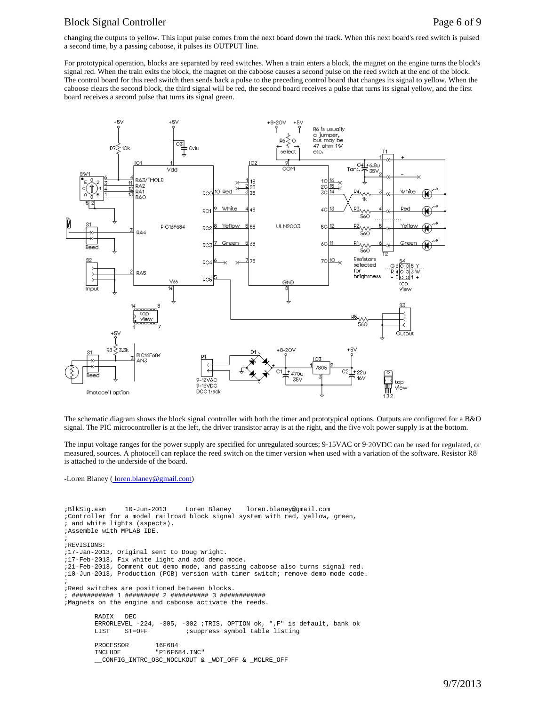#### Block Signal Controller Page 6 of 9

changing the outputs to yellow. This input pulse comes from the next board down the track. When this next board's reed switch is pulsed a second time, by a passing caboose, it pulses its OUTPUT line.

For prototypical operation, blocks are separated by reed switches. When a train enters a block, the magnet on the engine turns the block's signal red. When the train exits the block, the magnet on the caboose causes a second pulse on the reed switch at the end of the block. The control board for this reed switch then sends back a pulse to the preceding control board that changes its signal to yellow. When the caboose clears the second block, the third signal will be red, the second board receives a pulse that turns its signal yellow, and the first board receives a second pulse that turns its signal green.



The schematic diagram shows the block signal controller with both the timer and prototypical options. Outputs are configured for a B&O signal. The PIC microcontroller is at the left, the driver transistor array is at the right, and the five volt power supply is at the bottom.

The input voltage ranges for the power supply are specified for unregulated sources; 9-15VAC or 9-20VDC can be used for regulated, or measured, sources. A photocell can replace the reed switch on the timer version when used with a variation of the software. Resistor R8 is attached to the underside of the board.

-Loren Blaney (*loren.blaney@gmail.com*)

```
;BlkSig.asm 10-Jun-2013 Loren Blaney loren.blaney@gmail.com
;Controller for a model railroad block signal system with red, yellow, green,
; and white lights (aspects).
;Assemble with MPLAB IDE.
;
;REVISIONS:
;17-Jan-2013, Original sent to Doug Wright.
;17-Feb-2013, Fix white light and add demo mode.
;21-Feb-2013, Comment out demo mode, and passing caboose also turns signal red.
;10-Jun-2013, Production (PCB) version with timer switch; remove demo mode code.
;
;Reed switches are positioned between blocks.
; ########### 1 ######### 2 ########## 3 ############
;Magnets on the engine and caboose activate the reeds. 
        RADIX DEC
        ERRORLEVEL -224, -305, -302 ;TRIS, OPTION ok, ",F" is default, bank ok
                                ; suppress symbol table listing
        PROCESSOR 16F684<br>INCLUDE "P16F6
                        "P16F684.INC"
         __CONFIG_INTRC_OSC_NOCLKOUT & _WDT_OFF & _MCLRE_OFF
```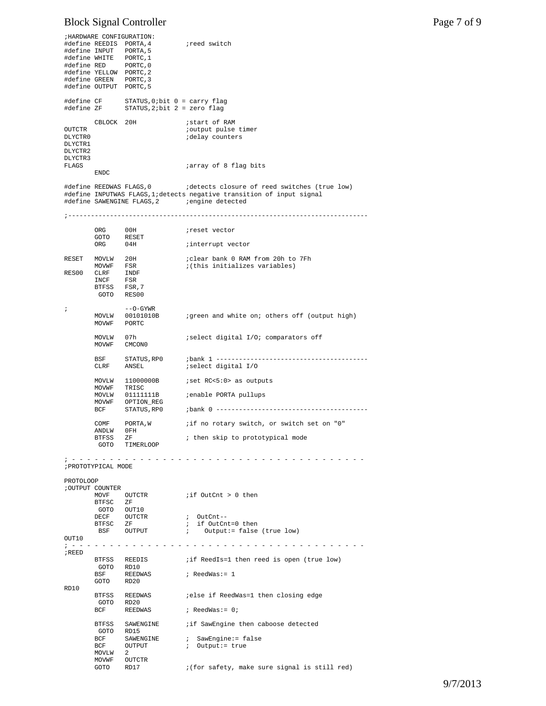# Block Signal Controller Page 7 of 9

|                                                    |                                                                                                                                                        | ; HARDWARE CONFIGURATION:                                           |                                                                                                                                                                         |  |  |  |
|----------------------------------------------------|--------------------------------------------------------------------------------------------------------------------------------------------------------|---------------------------------------------------------------------|-------------------------------------------------------------------------------------------------------------------------------------------------------------------------|--|--|--|
|                                                    | #define INPUT PORTA,5<br>#define WHITE PORTC, 1<br>#define RED PORTC, 0<br>#define YELLOW PORTC, 2<br>#define GREEN PORTC, 3<br>#define OUTPUT PORTC,5 | #define REEDIS PORTA, 4                                             | reed switch;                                                                                                                                                            |  |  |  |
| #define CF<br>#define ZF                           |                                                                                                                                                        | STATUS, $0$ ; bit $0 = carry$ flag<br>STATUS, $2:bit 2 = zero flag$ |                                                                                                                                                                         |  |  |  |
| OUTCTR<br>DLYCTR0<br>DLYCTR1<br>DLYCTR2<br>DLYCTR3 | CBLOCK 20H                                                                                                                                             |                                                                     | istart of RAM<br>joutput pulse timer<br>idelay counters                                                                                                                 |  |  |  |
| FLAGS                                              | ENDC                                                                                                                                                   |                                                                     | <i>array</i> of 8 flag bits                                                                                                                                             |  |  |  |
|                                                    |                                                                                                                                                        | #define REEDWAS FLAGS,0                                             | idetects closure of reed switches (true low)<br>#define INPUTWAS FLAGS, 1; detects negative transition of input signal<br>#define SAWENGINE FLAGS, 2 a consine detected |  |  |  |
|                                                    |                                                                                                                                                        |                                                                     |                                                                                                                                                                         |  |  |  |
|                                                    | ORG<br>GOTO                                                                                                                                            | 00H<br>RESET                                                        | ireset vector                                                                                                                                                           |  |  |  |
|                                                    | ORG                                                                                                                                                    | 04H                                                                 | interrupt vector                                                                                                                                                        |  |  |  |
| RESET                                              | MOVLW 20H                                                                                                                                              |                                                                     | ; clear bank 0 RAM from 20h to 7Fh                                                                                                                                      |  |  |  |
| RES00                                              | MOVWF FSR<br>CLRF                                                                                                                                      | INDF                                                                | ;(this initializes variables)                                                                                                                                           |  |  |  |
|                                                    | INCF                                                                                                                                                   | FSR                                                                 |                                                                                                                                                                         |  |  |  |
|                                                    | BTFSS FSR, 7<br>GOTO RES00                                                                                                                             |                                                                     |                                                                                                                                                                         |  |  |  |
|                                                    |                                                                                                                                                        |                                                                     |                                                                                                                                                                         |  |  |  |
| $\ddot{i}$                                         | MOVLW<br>MOVWF                                                                                                                                         | $--$ O $-$ GYWR<br>00101010B<br>PORTC                               | igreen and white on; others off (output high)                                                                                                                           |  |  |  |
|                                                    | MOVLW<br>MOVWF                                                                                                                                         | 07h<br>CMCON0                                                       | iselect digital I/O: comparators off                                                                                                                                    |  |  |  |
|                                                    | <b>BSF</b><br>CLRF                                                                                                                                     | STATUS,RP0<br>ANSEL                                                 | select digital I/O                                                                                                                                                      |  |  |  |
|                                                    | MOVWF                                                                                                                                                  | MOVLW 11000000B<br>TRISC                                            | set RC<5:0> as outputs;                                                                                                                                                 |  |  |  |
|                                                    | MOVWF                                                                                                                                                  | MOVLW 01111111B                                                     | enable PORTA pullups;                                                                                                                                                   |  |  |  |
|                                                    | BCF                                                                                                                                                    | OPTION_REG<br>STATUS, RPO                                           |                                                                                                                                                                         |  |  |  |
|                                                    |                                                                                                                                                        |                                                                     |                                                                                                                                                                         |  |  |  |
|                                                    | COMF<br>ANDLW                                                                                                                                          | PORTA, W<br>0FH                                                     | if no rotary switch, or switch set on "0"                                                                                                                               |  |  |  |
|                                                    | BTFSS                                                                                                                                                  | ΖF                                                                  | ; then skip to prototypical mode                                                                                                                                        |  |  |  |
|                                                    | GOTO                                                                                                                                                   | TIMERLOOP                                                           |                                                                                                                                                                         |  |  |  |
| ; PROTOTYPICAL MODE                                |                                                                                                                                                        |                                                                     |                                                                                                                                                                         |  |  |  |
| PROTOLOOP                                          |                                                                                                                                                        |                                                                     |                                                                                                                                                                         |  |  |  |
|                                                    | ; OUTPUT COUNTER<br>MOVF                                                                                                                               | OUTCTR                                                              | iif OutCnt > 0 then                                                                                                                                                     |  |  |  |
|                                                    | BTFSC ZF                                                                                                                                               |                                                                     |                                                                                                                                                                         |  |  |  |
|                                                    | GOTO OUT10                                                                                                                                             |                                                                     |                                                                                                                                                                         |  |  |  |
|                                                    | $\begin{tabular}{ll} BTFSC & ZF \\ \end{tabular}$                                                                                                      | DECF OUTCTR                                                         | ; OutCnt--<br>; if OutCnt=0 then                                                                                                                                        |  |  |  |
|                                                    |                                                                                                                                                        | BSF OUTPUT                                                          | ; Output:= false (true low)                                                                                                                                             |  |  |  |
| OUT10                                              |                                                                                                                                                        |                                                                     |                                                                                                                                                                         |  |  |  |
| ; REED                                             |                                                                                                                                                        |                                                                     |                                                                                                                                                                         |  |  |  |
|                                                    |                                                                                                                                                        | BTFSS REEDIS                                                        | iif ReedIs=1 then reed is open (true low)                                                                                                                               |  |  |  |
|                                                    | GOTO RD10<br>BSF                                                                                                                                       | REEDWAS                                                             | ; ReedWas:= 1                                                                                                                                                           |  |  |  |
|                                                    | GOTO RD20                                                                                                                                              |                                                                     |                                                                                                                                                                         |  |  |  |
| RD10                                               |                                                                                                                                                        | BTFSS REEDWAS                                                       | else if ReedWas=1 then closing edge;                                                                                                                                    |  |  |  |
|                                                    | GOTO RD20                                                                                                                                              |                                                                     |                                                                                                                                                                         |  |  |  |
|                                                    |                                                                                                                                                        | BCF REEDWAS                                                         | ; ReedWas:= 0;                                                                                                                                                          |  |  |  |
|                                                    | BTFSS                                                                                                                                                  |                                                                     | SAWENGINE . if SawEngine then caboose detected                                                                                                                          |  |  |  |
|                                                    | GOTO RD15                                                                                                                                              |                                                                     |                                                                                                                                                                         |  |  |  |
|                                                    | BCF<br>BCF                                                                                                                                             | SAWENGINE<br>OUTPUT                                                 | ; SawEngine:= false<br>; Output:= true                                                                                                                                  |  |  |  |
|                                                    | MOVLW                                                                                                                                                  | 2                                                                   |                                                                                                                                                                         |  |  |  |
|                                                    | MOVWF                                                                                                                                                  | OUTCTR                                                              |                                                                                                                                                                         |  |  |  |
|                                                    | GOTO                                                                                                                                                   | RD17                                                                | : (for safety, make sure signal is still red)                                                                                                                           |  |  |  |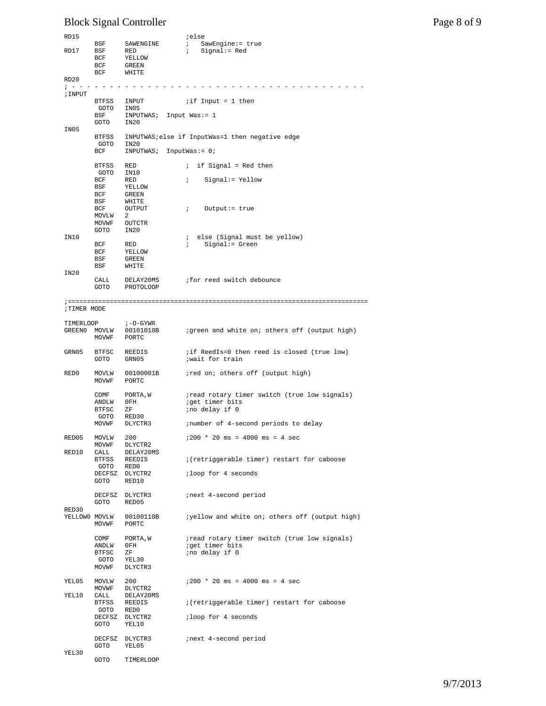# Block Signal Controller Page 8 of 9

| RD15              |                |                                    | ielse                                                           |
|-------------------|----------------|------------------------------------|-----------------------------------------------------------------|
|                   | BSF            | SAWENGINE                          | $\ddot{i}$<br>SawEngine:= true                                  |
| RD17              | BSF            | RED                                | $:$ Signal:= Red                                                |
|                   | BCF            | YELLOW                             |                                                                 |
|                   | BCF            | GREEN                              |                                                                 |
| RD20              | BCF            | WHITE                              |                                                                 |
|                   |                |                                    |                                                                 |
| ; INPUT           |                |                                    |                                                                 |
|                   |                | BTFSS INPUT                        | $i$ if Input = 1 then                                           |
|                   | GOTO           | IN05                               |                                                                 |
|                   | BSF<br>GOTO    | $INPUTWAS: Input Was := 1$<br>IN20 |                                                                 |
| IN05              |                |                                    |                                                                 |
|                   |                |                                    | BTFSS INPUTWAS; else if InputWas=1 then negative edge           |
|                   | GOTO IN20      |                                    |                                                                 |
|                   | BCF            | $INPUTWAS: InputWas := 0;$         |                                                                 |
|                   | BTFSS          | RED                                | $:$ if Signal = Red then                                        |
|                   | GOTO IN10      |                                    |                                                                 |
|                   | BCF            | RED                                | ; Signal:= Yellow                                               |
|                   | BSF            | YELLOW                             |                                                                 |
|                   | BCF            | GREEN                              |                                                                 |
|                   | BSF<br>BCF     | WHITE<br>OUTPUT                    | $\mathcal{F}$<br>Output:= true                                  |
|                   | MOVLW          | - 2                                |                                                                 |
|                   | MOVWF          | OUTCTR                             |                                                                 |
|                   | GOTO           | IN20                               |                                                                 |
| IN10              |                |                                    | ; else (Signal must be yellow)                                  |
|                   | BCF<br>BCF     | RED<br>YELLOW                      | ; Signal:= Green                                                |
|                   | BSF            | GREEN                              |                                                                 |
|                   | BSF            | WHITE                              |                                                                 |
| IN20              |                |                                    |                                                                 |
|                   | CALL           | DELAY20MS                          | ifor reed switch debounce                                       |
|                   | GOTO           | PROTOLOOP                          |                                                                 |
|                   |                |                                    |                                                                 |
| <b>TIMER MODE</b> |                |                                    |                                                                 |
|                   |                |                                    |                                                                 |
| TIMERLOOP         |                | i-O-GYWR                           |                                                                 |
|                   | MOVWF          | GREEN0 MOVLW 00101010B<br>PORTC    | igreen and white on; others off (output high)                   |
|                   |                |                                    |                                                                 |
| GRN05             |                | BTFSC REEDIS                       | if ReedIs=0 then reed is closed (true low)                      |
|                   | GOTO           | GRN05                              | wait for train                                                  |
| RED0              |                |                                    |                                                                 |
|                   | MOVWF          | MOVLW 00100001B<br>PORTC           | ired on: others off (output high)                               |
|                   |                |                                    |                                                                 |
|                   | COMF           | PORTA, W                           | iread rotary timer switch (true low signals)                    |
|                   | ANDLW          | OFH                                | iget timer bits                                                 |
|                   | BTFSC          | ZF                                 | ;no delay if 0                                                  |
|                   | GOTO<br>MOVWF  | RED30<br>DLYCTR3                   | inumber of 4-second periods to delay                            |
|                   |                |                                    |                                                                 |
| RED05             | MOVLW          | 200                                | $1200 * 20$ ms = 4000 ms = 4 sec                                |
|                   | MOVWF          | DLYCTR2                            |                                                                 |
| RED10             | CALL           | DELAY20MS                          |                                                                 |
|                   | BTFSS<br>GOTO  | REEDIS<br>RED0                     | : (retriggerable timer) restart for caboose                     |
|                   |                | DECFSZ DLYCTR2                     | ;loop for 4 seconds                                             |
|                   | GOTO           | RED10                              |                                                                 |
|                   |                |                                    |                                                                 |
|                   | DECFSZ         | DLYCTR3                            | inext 4-second period                                           |
| RED30             | GOTO           | RED05                              |                                                                 |
| XELLOWO MOVLW     |                | 00100110B                          | <i>i</i> yellow and white on; others off (output high)          |
|                   | MOVWF          | PORTC                              |                                                                 |
|                   |                |                                    |                                                                 |
|                   | COMF           | PORTA, W<br>0FH                    | iread rotary timer switch (true low signals)<br>iget timer bits |
|                   | ANDLW<br>BTFSC | ΖF                                 | ; no delay if 0                                                 |
|                   | GOTO           | YEL30                              |                                                                 |
|                   | MOVWF          | DLYCTR3                            |                                                                 |
|                   |                |                                    |                                                                 |
| YEL05             | MOVLW<br>MOVWF | 200<br>DLYCTR2                     | $1200 * 20$ ms = 4000 ms = 4 sec                                |
| YEL10             | CALL           | DELAY20MS                          |                                                                 |
|                   | BTFSS          | REEDIS                             | : (retriggerable timer) restart for caboose                     |
|                   | GOTO           | RED0                               |                                                                 |
|                   |                | DECFSZ DLYCTR2                     | ;loop for 4 seconds                                             |
|                   | GOTO           | YEL10                              |                                                                 |
|                   |                | DECFSZ DLYCTR3                     | inext 4-second period                                           |
|                   | GOTO           | YEL05                              |                                                                 |
| YEL30             |                |                                    |                                                                 |
|                   | GOTO           | TIMERLOOP                          |                                                                 |

9/7/2013